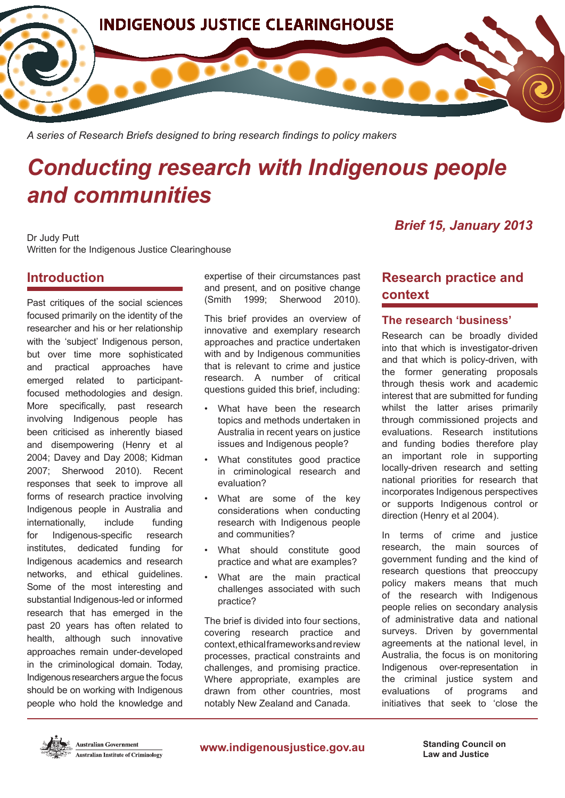

*A series of Research Briefs designed to bring research findings to policy makers*

# *Conducting research with Indigenous people and communities*

Dr Judy Putt Written for the Indigenous Justice Clearinghouse

# **Introduction**

Past critiques of the social sciences focused primarily on the identity of the researcher and his or her relationship with the 'subject' Indigenous person, but over time more sophisticated and practical approaches have emerged related to participantfocused methodologies and design. More specifically, past research involving Indigenous people has been criticised as inherently biased and disempowering (Henry et al 2004; Davey and Day 2008; Kidman 2007; Sherwood 2010). Recent responses that seek to improve all forms of research practice involving Indigenous people in Australia and internationally, include funding for Indigenous-specific research institutes, dedicated funding for Indigenous academics and research networks, and ethical guidelines. Some of the most interesting and substantial Indigenous-led or informed research that has emerged in the past 20 years has often related to health, although such innovative approaches remain under-developed in the criminological domain. Today, Indigenous researchers argue the focus should be on working with Indigenous people who hold the knowledge and expertise of their circumstances past and present, and on positive change (Smith 1999; Sherwood 2010).

This brief provides an overview of innovative and exemplary research approaches and practice undertaken with and by Indigenous communities that is relevant to crime and justice research. A number of critical questions guided this brief, including:

- What have been the research topics and methods undertaken in Australia in recent years on justice issues and Indigenous people?
- What constitutes good practice in criminological research and evaluation?
- What are some of the key considerations when conducting research with Indigenous people and communities?
- What should constitute good practice and what are examples?
- What are the main practical challenges associated with such practice?

The brief is divided into four sections, covering research practice and context, ethical frameworks and review processes, practical constraints and challenges, and promising practice. Where appropriate, examples are drawn from other countries, most notably New Zealand and Canada.

# *Brief 15, January 2013*

# **Research practice and context**

## **The research 'business'**

Research can be broadly divided into that which is investigator-driven and that which is policy-driven, with the former generating proposals through thesis work and academic interest that are submitted for funding whilst the latter arises primarily through commissioned projects and evaluations. Research institutions and funding bodies therefore play an important role in supporting locally-driven research and setting national priorities for research that incorporates Indigenous perspectives or supports Indigenous control or direction (Henry et al 2004).

In terms of crime and justice research, the main sources of government funding and the kind of research questions that preoccupy policy makers means that much of the research with Indigenous people relies on secondary analysis of administrative data and national surveys. Driven by governmental agreements at the national level, in Australia, the focus is on monitoring Indigenous over-representation in the criminal justice system and evaluations of programs and initiatives that seek to 'close the

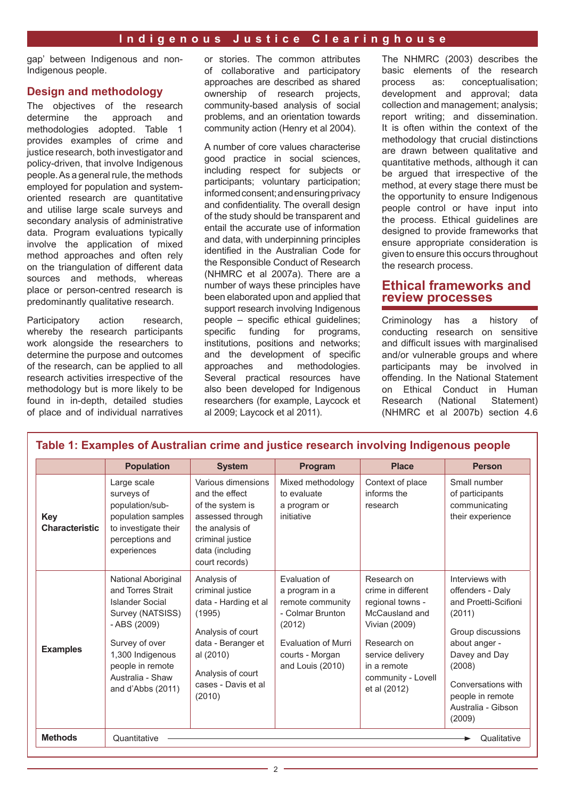gap' between Indigenous and non-Indigenous people.

## **Design and methodology**

The objectives of the research determine the approach and methodologies adopted. Table 1 provides examples of crime and justice research, both investigator and policy-driven, that involve Indigenous people. As a general rule, the methods employed for population and systemoriented research are quantitative and utilise large scale surveys and secondary analysis of administrative data. Program evaluations typically involve the application of mixed method approaches and often rely on the triangulation of different data sources and methods, whereas place or person-centred research is predominantly qualitative research.

Participatory action research, whereby the research participants work alongside the researchers to determine the purpose and outcomes of the research, can be applied to all research activities irrespective of the methodology but is more likely to be found in in-depth, detailed studies of place and of individual narratives

or stories. The common attributes of collaborative and participatory approaches are described as shared ownership of research projects, community-based analysis of social problems, and an orientation towards community action (Henry et al 2004).

A number of core values characterise good practice in social sciences, including respect for subjects or participants; voluntary participation; informed consent; and ensuring privacy and confidentiality. The overall design of the study should be transparent and entail the accurate use of information and data, with underpinning principles identified in the Australian Code for the Responsible Conduct of Research (NHMRC et al 2007a). There are a number of ways these principles have been elaborated upon and applied that support research involving Indigenous people – specific ethical guidelines;<br>specific funding for programs. for programs, institutions, positions and networks; and the development of specific approaches and methodologies. Several practical resources have also been developed for Indigenous researchers (for example, Laycock et al 2009; Laycock et al 2011).

The NHMRC (2003) describes the basic elements of the research process as: conceptualisation; development and approval; data collection and management; analysis; report writing; and dissemination. It is often within the context of the methodology that crucial distinctions are drawn between qualitative and quantitative methods, although it can be argued that irrespective of the method, at every stage there must be the opportunity to ensure Indigenous people control or have input into the process. Ethical guidelines are designed to provide frameworks that ensure appropriate consideration is given to ensure this occurs throughout the research process.

# **Ethical frameworks and review processes**

Criminology has a history of conducting research on sensitive and difficult issues with marginalised and/or vulnerable groups and where participants may be involved in offending. In the National Statement on Ethical Conduct in Human Research (National Statement) (NHMRC et al 2007b) section 4.6

|                                     | <b>Population</b>                                                                                                                                                                                  | <b>System</b>                                                                                                                                                                   | Program                                                                                                                                                | <b>Place</b>                                                                                                                                                                     | <b>Person</b>                                                                                                                                                                                                    |
|-------------------------------------|----------------------------------------------------------------------------------------------------------------------------------------------------------------------------------------------------|---------------------------------------------------------------------------------------------------------------------------------------------------------------------------------|--------------------------------------------------------------------------------------------------------------------------------------------------------|----------------------------------------------------------------------------------------------------------------------------------------------------------------------------------|------------------------------------------------------------------------------------------------------------------------------------------------------------------------------------------------------------------|
| <b>Key</b><br><b>Characteristic</b> | Large scale<br>surveys of<br>population/sub-<br>population samples<br>to investigate their<br>perceptions and<br>experiences                                                                       | Various dimensions<br>and the effect<br>of the system is<br>assessed through<br>the analysis of<br>criminal justice<br>data (including<br>court records)                        | Mixed methodology<br>to evaluate<br>a program or<br>initiative                                                                                         | Context of place<br>informs the<br>research                                                                                                                                      | Small number<br>of participants<br>communicating<br>their experience                                                                                                                                             |
| <b>Examples</b>                     | National Aboriginal<br>and Torres Strait<br>Islander Social<br>Survey (NATSISS)<br>- ABS (2009)<br>Survey of over<br>1,300 Indigenous<br>people in remote<br>Australia - Shaw<br>and d'Abbs (2011) | Analysis of<br>criminal justice<br>data - Harding et al<br>(1995)<br>Analysis of court<br>data - Beranger et<br>al (2010)<br>Analysis of court<br>cases - Davis et al<br>(2010) | Evaluation of<br>a program in a<br>remote community<br>- Colmar Brunton<br>(2012)<br><b>Evaluation of Murri</b><br>courts - Morgan<br>and Louis (2010) | Research on<br>crime in different<br>regional towns -<br>McCausland and<br>Vivian (2009)<br>Research on<br>service delivery<br>in a remote<br>community - Lovell<br>et al (2012) | Interviews with<br>offenders - Daly<br>and Proetti-Scifioni<br>(2011)<br>Group discussions<br>about anger -<br>Davey and Day<br>(2008)<br>Conversations with<br>people in remote<br>Australia - Gibson<br>(2009) |
| <b>Methods</b>                      | Quantitative<br>Qualitative                                                                                                                                                                        |                                                                                                                                                                                 |                                                                                                                                                        |                                                                                                                                                                                  |                                                                                                                                                                                                                  |

# **Table 1: Examples of Australian crime and justice research involving Indigenous people**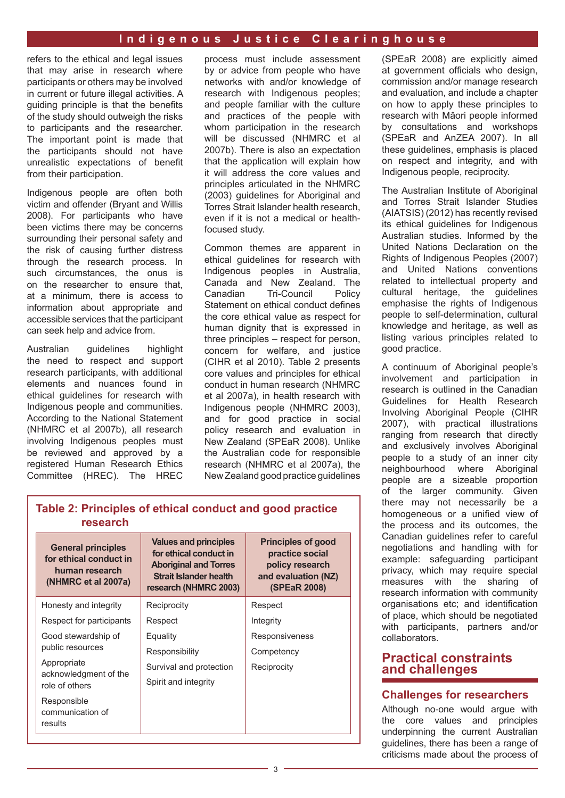refers to the ethical and legal issues that may arise in research where participants or others may be involved in current or future illegal activities. A guiding principle is that the benefits of the study should outweigh the risks to participants and the researcher. The important point is made that the participants should not have unrealistic expectations of benefit from their participation.

Indigenous people are often both victim and offender (Bryant and Willis 2008). For participants who have been victims there may be concerns surrounding their personal safety and the risk of causing further distress through the research process. In such circumstances, the onus is on the researcher to ensure that, at a minimum, there is access to information about appropriate and accessible services that the participant can seek help and advice from.

Australian guidelines highlight the need to respect and support research participants, with additional elements and nuances found in ethical guidelines for research with Indigenous people and communities. According to the National Statement (NHMRC et al 2007b), all research involving Indigenous peoples must be reviewed and approved by a registered Human Research Ethics Committee (HREC). The HREC

process must include assessment by or advice from people who have networks with and/or knowledge of research with Indigenous peoples; and people familiar with the culture and practices of the people with whom participation in the research will be discussed (NHMRC et al 2007b). There is also an expectation that the application will explain how it will address the core values and principles articulated in the NHMRC (2003) guidelines for Aboriginal and Torres Strait Islander health research, even if it is not a medical or healthfocused study.

Common themes are apparent in ethical guidelines for research with Indigenous peoples in Australia, Canada and New Zealand. The Canadian Tri-Council Policy Statement on ethical conduct defines the core ethical value as respect for human dignity that is expressed in three principles – respect for person, concern for welfare, and justice (CIHR et al 2010). Table 2 presents core values and principles for ethical conduct in human research (NHMRC et al 2007a), in health research with Indigenous people (NHMRC 2003), and for good practice in social policy research and evaluation in New Zealand (SPEaR 2008). Unlike the Australian code for responsible research (NHMRC et al 2007a), the New Zealand good practice guidelines (SPEaR 2008) are explicitly aimed at government officials who design, commission and/or manage research and evaluation, and include a chapter on how to apply these principles to research with Mâori people informed by consultations and workshops (SPEaR and AnZEA 2007). In all these guidelines, emphasis is placed on respect and integrity, and with Indigenous people, reciprocity.

The Australian Institute of Aboriginal and Torres Strait Islander Studies (AIATSIS) (2012) has recently revised its ethical guidelines for Indigenous Australian studies. Informed by the United Nations Declaration on the Rights of Indigenous Peoples (2007) and United Nations conventions related to intellectual property and cultural heritage, the guidelines emphasise the rights of Indigenous people to self-determination, cultural knowledge and heritage, as well as listing various principles related to good practice.

A continuum of Aboriginal people's involvement and participation in research is outlined in the Canadian Guidelines for Health Research Involving Aboriginal People (CIHR 2007), with practical illustrations ranging from research that directly and exclusively involves Aboriginal people to a study of an inner city neighbourhood where Aboriginal people are a sizeable proportion of the larger community. Given there may not necessarily be a homogeneous or a unified view of the process and its outcomes, the Canadian guidelines refer to careful negotiations and handling with for example: safeguarding participant privacy, which may require special measures with the sharing of research information with community organisations etc; and identification of place, which should be negotiated with participants, partners and/or collaborators.

# **Practical constraints and challenges**

# **Challenges for researchers**

Although no-one would argue with the core values and principles underpinning the current Australian guidelines, there has been a range of criticisms made about the process of

| research                                                                                     |                                                                                                                                                  |                                                                                                               |
|----------------------------------------------------------------------------------------------|--------------------------------------------------------------------------------------------------------------------------------------------------|---------------------------------------------------------------------------------------------------------------|
| <b>General principles</b><br>for ethical conduct in<br>human research<br>(NHMRC et al 2007a) | <b>Values and principles</b><br>for ethical conduct in<br><b>Aboriginal and Torres</b><br><b>Strait Islander health</b><br>research (NHMRC 2003) | <b>Principles of good</b><br>practice social<br>policy research<br>and evaluation (NZ)<br><b>(SPEaR 2008)</b> |
| Hongety and integrity                                                                        | <b>Peciprocity</b>                                                                                                                               | Daenart                                                                                                       |

**Table 2: Principles of ethical conduct and good practice** 

| Honesty and integrity                      | Reciprocity             | Respect        |
|--------------------------------------------|-------------------------|----------------|
| Respect for participants                   | Respect                 | Integrity      |
| Good stewardship of                        | Equality                | Responsiveness |
| public resources                           | Responsibility          | Competency     |
| Appropriate                                | Survival and protection | Reciprocity    |
| acknowledgment of the<br>role of others    | Spirit and integrity    |                |
| Responsible<br>communication of<br>results |                         |                |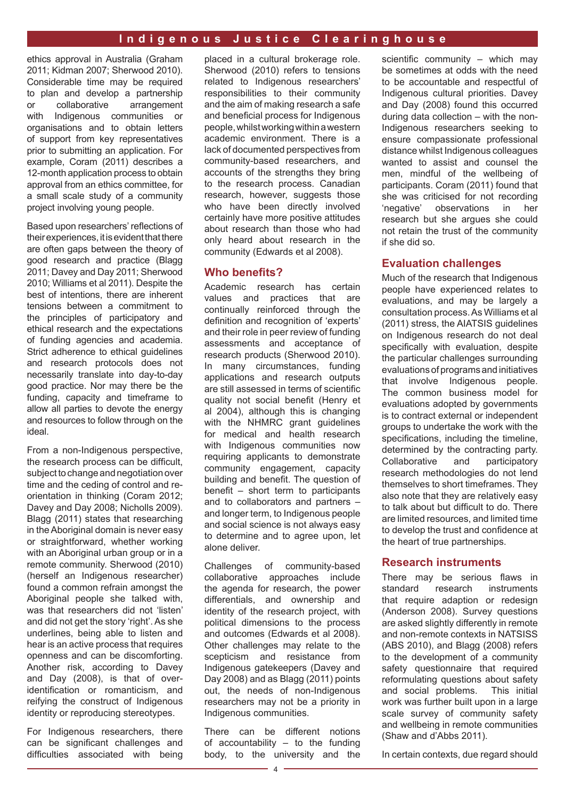ethics approval in Australia (Graham 2011; Kidman 2007; Sherwood 2010). Considerable time may be required to plan and develop a partnership or collaborative arrangement with Indigenous communities or organisations and to obtain letters of support from key representatives prior to submitting an application. For example, Coram (2011) describes a 12-month application process to obtain approval from an ethics committee, for a small scale study of a community project involving young people.

Based upon researchers' reflections of their experiences, it is evident that there are often gaps between the theory of good research and practice (Blagg 2011; Davey and Day 2011; Sherwood 2010; Williams et al 2011). Despite the best of intentions, there are inherent tensions between a commitment to the principles of participatory and ethical research and the expectations of funding agencies and academia. Strict adherence to ethical guidelines and research protocols does not necessarily translate into day-to-day good practice. Nor may there be the funding, capacity and timeframe to allow all parties to devote the energy and resources to follow through on the ideal.

From a non-Indigenous perspective, the research process can be difficult, subject to change and negotiation over time and the ceding of control and reorientation in thinking (Coram 2012; Davey and Day 2008; Nicholls 2009). Blagg (2011) states that researching in the Aboriginal domain is never easy or straightforward, whether working with an Aboriginal urban group or in a remote community. Sherwood (2010) (herself an Indigenous researcher) found a common refrain amongst the Aboriginal people she talked with, was that researchers did not 'listen' and did not get the story 'right'. As she underlines, being able to listen and hear is an active process that requires openness and can be discomforting. Another risk, according to Davey and Day (2008), is that of overidentification or romanticism, and reifying the construct of Indigenous identity or reproducing stereotypes.

For Indigenous researchers, there can be significant challenges and difficulties associated with being

placed in a cultural brokerage role. Sherwood (2010) refers to tensions related to Indigenous researchers' responsibilities to their community and the aim of making research a safe and beneficial process for Indigenous people, whilst working within a western academic environment. There is a lack of documented perspectives from community-based researchers, and accounts of the strengths they bring to the research process. Canadian research, however, suggests those who have been directly involved certainly have more positive attitudes about research than those who had only heard about research in the community (Edwards et al 2008).

#### **Who benefits?**

Academic research has certain values and practices that are continually reinforced through the definition and recognition of 'experts' and their role in peer review of funding assessments and acceptance of research products (Sherwood 2010). In many circumstances, funding applications and research outputs are still assessed in terms of scientific quality not social benefit (Henry et al 2004), although this is changing with the NHMRC grant guidelines for medical and health research with Indigenous communities now requiring applicants to demonstrate community engagement, capacity building and benefit. The question of benefit – short term to participants and to collaborators and partners – and longer term, to Indigenous people and social science is not always easy to determine and to agree upon, let alone deliver.

Challenges of community-based collaborative approaches include the agenda for research, the power differentials, and ownership and identity of the research project, with political dimensions to the process and outcomes (Edwards et al 2008). Other challenges may relate to the scepticism and resistance from Indigenous gatekeepers (Davey and Day 2008) and as Blagg (2011) points out, the needs of non-Indigenous researchers may not be a priority in Indigenous communities.

There can be different notions of accountability – to the funding body, to the university and the scientific community – which may be sometimes at odds with the need to be accountable and respectful of Indigenous cultural priorities. Davey and Day (2008) found this occurred during data collection – with the non-Indigenous researchers seeking to ensure compassionate professional distance whilst Indigenous colleagues wanted to assist and counsel the men, mindful of the wellbeing of participants. Coram (2011) found that she was criticised for not recording 'negative' observations in her research but she argues she could not retain the trust of the community if she did so.

#### **Evaluation challenges**

Much of the research that Indigenous people have experienced relates to evaluations, and may be largely a consultation process. As Williams et al (2011) stress, the AIATSIS guidelines on Indigenous research do not deal specifically with evaluation, despite the particular challenges surrounding evaluations of programs and initiatives that involve Indigenous people. The common business model for evaluations adopted by governments is to contract external or independent groups to undertake the work with the specifications, including the timeline, determined by the contracting party.<br>Collaborative and participatory participatory research methodologies do not lend themselves to short timeframes. They also note that they are relatively easy to talk about but difficult to do. There are limited resources, and limited time to develop the trust and confidence at the heart of true partnerships.

#### **Research instruments**

There may be serious flaws in standard research instruments that require adaption or redesign (Anderson 2008). Survey questions are asked slightly differently in remote and non-remote contexts in NATSISS (ABS 2010), and Blagg (2008) refers to the development of a community safety questionnaire that required reformulating questions about safety and social problems. This initial work was further built upon in a large scale survey of community safety and wellbeing in remote communities (Shaw and d'Abbs 2011).

In certain contexts, due regard should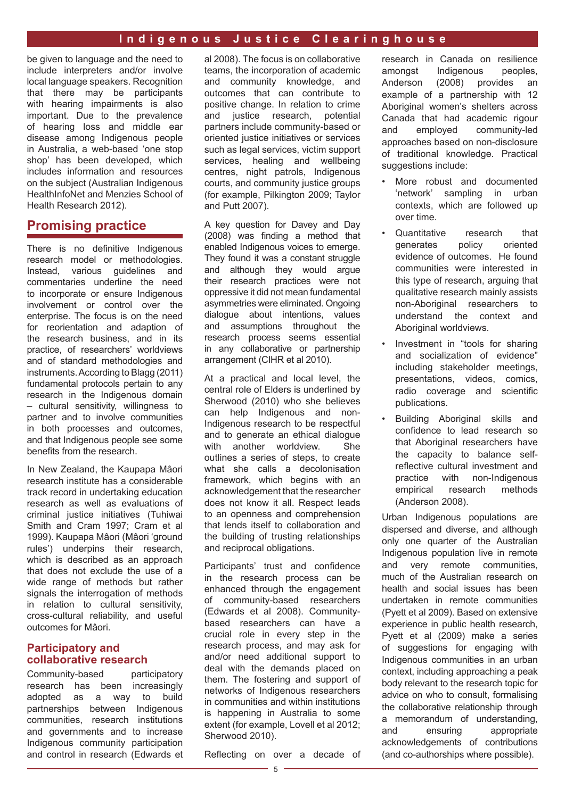be given to language and the need to include interpreters and/or involve local language speakers. Recognition that there may be participants with hearing impairments is also important. Due to the prevalence of hearing loss and middle ear disease among Indigenous people in Australia, a web-based 'one stop shop' has been developed, which includes information and resources on the subject (Australian Indigenous HealthInfoNet and Menzies School of Health Research 2012).

# **Promising practice**

There is no definitive Indigenous research model or methodologies. Instead, various guidelines and commentaries underline the need to incorporate or ensure Indigenous involvement or control over the enterprise. The focus is on the need for reorientation and adaption of the research business, and in its practice, of researchers' worldviews and of standard methodologies and instruments. According to Blagg (2011) fundamental protocols pertain to any research in the Indigenous domain – cultural sensitivity, willingness to partner and to involve communities in both processes and outcomes, and that Indigenous people see some benefits from the research.

In New Zealand, the Kaupapa Mâori research institute has a considerable track record in undertaking education research as well as evaluations of criminal justice initiatives (Tuhiwai Smith and Cram 1997; Cram et al 1999). Kaupapa Mâori (Mâori 'ground rules') underpins their research, which is described as an approach that does not exclude the use of a wide range of methods but rather signals the interrogation of methods in relation to cultural sensitivity, cross-cultural reliability, and useful outcomes for Mâori.

#### **Participatory and collaborative research**

Community-based participatory research has been increasingly adopted as a way to build partnerships between Indigenous communities, research institutions and governments and to increase Indigenous community participation and control in research (Edwards et al 2008). The focus is on collaborative teams, the incorporation of academic and community knowledge, and outcomes that can contribute to positive change. In relation to crime and justice research, potential partners include community-based or oriented justice initiatives or services such as legal services, victim support services, healing and wellbeing centres, night patrols, Indigenous courts, and community justice groups (for example, Pilkington 2009; Taylor and Putt 2007).

A key question for Davey and Day (2008) was finding a method that enabled Indigenous voices to emerge. They found it was a constant struggle and although they would argue their research practices were not oppressive it did not mean fundamental asymmetries were eliminated. Ongoing dialogue about intentions, values and assumptions throughout the research process seems essential in any collaborative or partnership arrangement (CIHR et al 2010).

At a practical and local level, the central role of Elders is underlined by Sherwood (2010) who she believes can help Indigenous and non-Indigenous research to be respectful and to generate an ethical dialogue with another worldview. She outlines a series of steps, to create what she calls a decolonisation framework, which begins with an acknowledgement that the researcher does not know it all. Respect leads to an openness and comprehension that lends itself to collaboration and the building of trusting relationships and reciprocal obligations.

Participants' trust and confidence in the research process can be enhanced through the engagement of community-based researchers (Edwards et al 2008). Communitybased researchers can have a crucial role in every step in the research process, and may ask for and/or need additional support to deal with the demands placed on them. The fostering and support of networks of Indigenous researchers in communities and within institutions is happening in Australia to some extent (for example, Lovell et al 2012; Sherwood 2010).

Reflecting on over a decade of

research in Canada on resilience amongst Indigenous peoples, Anderson (2008) provides an example of a partnership with 12 Aboriginal women's shelters across Canada that had academic rigour and employed community-led approaches based on non-disclosure of traditional knowledge. Practical suggestions include:

- More robust and documented 'network' sampling in urban contexts, which are followed up over time.
- Quantitative research that generates policy oriented evidence of outcomes. He found communities were interested in this type of research, arguing that qualitative research mainly assists non-Aboriginal researchers to understand the context and Aboriginal worldviews.
- Investment in "tools for sharing and socialization of evidence" including stakeholder meetings, presentations, videos, comics, radio coverage and scientific publications.
- Building Aboriginal skills and confidence to lead research so that Aboriginal researchers have the capacity to balance selfreflective cultural investment and practice with non-Indigenous empirical research methods (Anderson 2008).

Urban Indigenous populations are dispersed and diverse, and although only one quarter of the Australian Indigenous population live in remote and very remote communities, much of the Australian research on health and social issues has been undertaken in remote communities (Pyett et al 2009). Based on extensive experience in public health research, Pyett et al (2009) make a series of suggestions for engaging with Indigenous communities in an urban context, including approaching a peak body relevant to the research topic for advice on who to consult, formalising the collaborative relationship through a memorandum of understanding, and ensuring appropriate acknowledgements of contributions (and co-authorships where possible).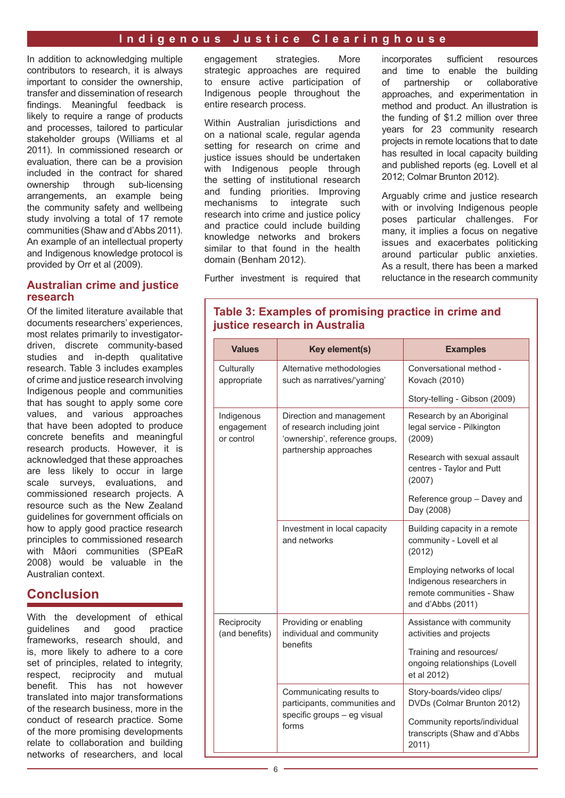In addition to acknowledging multiple contributors to research, it is always important to consider the ownership, transfer and dissemination of research findings. Meaningful feedback is likely to require a range of products and processes, tailored to particular stakeholder groups (Williams et al 2011). In commissioned research or evaluation, there can be a provision included in the contract for shared ownership through sub-licensing arrangements, an example being the community safety and wellbeing study involving a total of 17 remote communities (Shaw and d'Abbs 2011). An example of an intellectual property and Indigenous knowledge protocol is provided by Orr et al (2009).

#### **Australian crime and justice research**

Of the limited literature available that documents researchers' experiences, most relates primarily to investigatordriven, discrete community-based studies and in-depth qualitative research. Table 3 includes examples of crime and justice research involving Indigenous people and communities that has sought to apply some core values, and various approaches that have been adopted to produce concrete benefits and meaningful research products. However, it is acknowledged that these approaches are less likely to occur in large scale surveys, evaluations, and commissioned research projects. A resource such as the New Zealand guidelines for government officials on how to apply good practice research principles to commissioned research with Mâori communities (SPEaR 2008) would be valuable in the Australian context.

# **Conclusion**

With the development of ethical guidelines and good practice frameworks, research should, and is, more likely to adhere to a core set of principles, related to integrity, respect, reciprocity and mutual benefit. This has not however translated into major transformations of the research business, more in the conduct of research practice. Some of the more promising developments relate to collaboration and building networks of researchers, and local

engagement strategies. More strategic approaches are required to ensure active participation of Indigenous people throughout the entire research process.

Within Australian jurisdictions and on a national scale, regular agenda setting for research on crime and justice issues should be undertaken with Indigenous people through the setting of institutional research and funding priorities. Improving mechanisms to integrate such research into crime and justice policy and practice could include building knowledge networks and brokers similar to that found in the health domain (Benham 2012).

incorporates sufficient resources and time to enable the building of partnership or collaborative approaches, and experimentation in method and product. An illustration is the funding of \$1.2 million over three years for 23 community research projects in remote locations that to date has resulted in local capacity building and published reports (eg. Lovell et al 2012; Colmar Brunton 2012).

Arguably crime and justice research with or involving Indigenous people poses particular challenges. For many, it implies a focus on negative issues and exacerbates politicking around particular public anxieties. As a result, there has been a marked reluctance in the research community

Further investment is required that

| <b>Values</b>                          | Key element(s)                                                                            | <b>Examples</b>                                                                                            |
|----------------------------------------|-------------------------------------------------------------------------------------------|------------------------------------------------------------------------------------------------------------|
| Culturally<br>appropriate              | Alternative methodologies<br>such as narratives/'yarning'                                 | Conversational method -<br>Kovach (2010)                                                                   |
|                                        |                                                                                           | Story-telling - Gibson (2009)                                                                              |
| Indigenous<br>engagement<br>or control | Direction and management<br>of research including joint<br>'ownership', reference groups, | Research by an Aboriginal<br>legal service - Pilkington<br>(2009)                                          |
|                                        | partnership approaches                                                                    | Research with sexual assault<br>centres - Taylor and Putt<br>(2007)                                        |
|                                        |                                                                                           | Reference group - Davey and<br>Day (2008)                                                                  |
|                                        | Investment in local capacity<br>and networks                                              | Building capacity in a remote<br>community - Lovell et al<br>(2012)                                        |
|                                        |                                                                                           | Employing networks of local<br>Indigenous researchers in<br>remote communities - Shaw<br>and d'Abbs (2011) |
| Reciprocity<br>(and benefits)          | Providing or enabling<br>individual and community                                         | Assistance with community<br>activities and projects                                                       |
|                                        | <b>benefits</b>                                                                           | Training and resources/<br>ongoing relationships (Lovell<br>et al 2012)                                    |
|                                        | Communicating results to<br>participants, communities and                                 | Story-boards/video clips/<br>DVDs (Colmar Brunton 2012)                                                    |
|                                        | specific groups - eg visual<br>forms                                                      | Community reports/individual<br>transcripts (Shaw and d'Abbs<br>2011)                                      |

## **Table 3: Examples of promising practice in crime and justice research in Australia**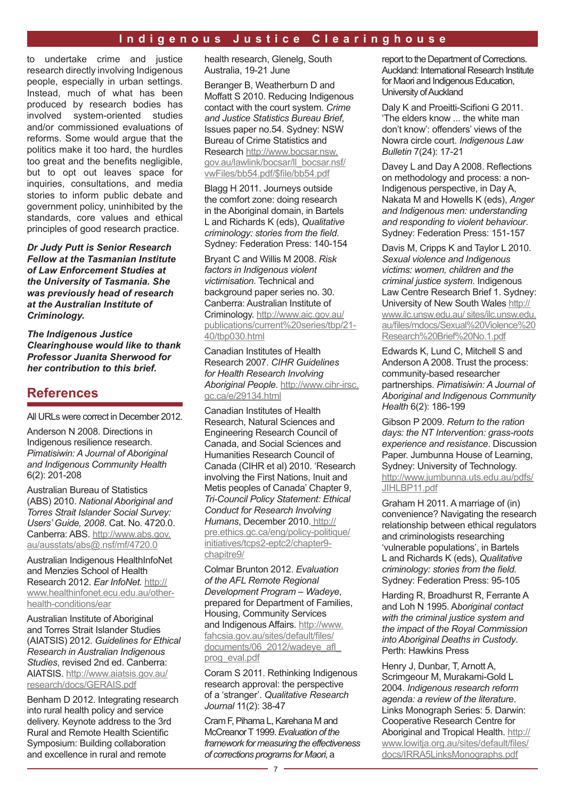to undertake crime and justice research directly involving Indigenous people, especially in urban settings. Instead, much of what has been produced by research bodies has involved system-oriented studies and/or commissioned evaluations of reforms. Some would argue that the politics make it too hard, the hurdles too great and the benefits negligible, but to opt out leaves space for inquiries, consultations, and media stories to inform public debate and government policy, uninhibited by the standards, core values and ethical principles of good research practice.

*Dr Judy Putt is Senior Research Fellow at the Tasmanian Institute of Law Enforcement Studies at the University of Tasmania. She was previously head of research at the Australian Institute of Criminology.*

*The Indigenous Justice Clearinghouse would like to thank Professor Juanita Sherwood for her contribution to this brief.*

# **References**

All URLs were correct in December 2012.

Anderson N 2008. Directions in Indigenous resilience research. *Pimatisiwin: A Journal of Aboriginal and Indigenous Community Health* 6(2): 201-208

Australian Bureau of Statistics (ABS) 2010. *National Aboriginal and Torres Strait Islander Social Survey: Users' Guide, 2008*. Cat. No. 4720.0. Canberra: ABS. [http://www.abs.gov.](http://www.abs.gov.au/ausstats/abs%40.nsf/mf/4720.0) [au/ausstats/abs@.nsf/mf/4720.0](http://www.abs.gov.au/ausstats/abs%40.nsf/mf/4720.0)

Australian Indigenous HealthInfoNet and Menzies School of Health Research 2012. *Ear InfoNet.* [http://](http://www.healthinfonet.ecu.edu.au/other-health-conditions/ear) [www.healthinfonet.ecu.edu.au/other](http://www.healthinfonet.ecu.edu.au/other-health-conditions/ear)[health-conditions/ear](http://www.healthinfonet.ecu.edu.au/other-health-conditions/ear)

Australian Institute of Aboriginal and Torres Strait Islander Studies (AIATSIS) 2012. *Guidelines for Ethical Research in Australian Indigenous Studies*, revised 2nd ed. Canberra: AIATSIS. [http://www.aiatsis.gov.au/](http://www.aiatsis.gov.au/research/docs/GERAIS.pdf) [research/docs/GERAIS.pdf](http://www.aiatsis.gov.au/research/docs/GERAIS.pdf)

Benham D 2012. Integrating research into rural health policy and service delivery. Keynote address to the 3rd Rural and Remote Health Scientific Symposium: Building collaboration and excellence in rural and remote

health research, Glenelg, South Australia, 19-21 June

Beranger B, Weatherburn D and Moffatt S 2010. Reducing Indigenous contact with the court system. *Crime and Justice Statistics Bureau Brief*, Issues paper no.54. Sydney: NSW Bureau of Crime Statistics and Research [http://www.bocsar.nsw.](http://www.bocsar.nsw.gov.au/lawlink/bocsar/ll_bocsar.nsf/vwFiles/bb54.pdf/%24file/bb54.pdf) [gov.au/lawlink/bocsar/ll\\_bocsar.nsf/](http://www.bocsar.nsw.gov.au/lawlink/bocsar/ll_bocsar.nsf/vwFiles/bb54.pdf/%24file/bb54.pdf) [vwFiles/bb54.pdf/\\$file/bb54.pdf](http://www.bocsar.nsw.gov.au/lawlink/bocsar/ll_bocsar.nsf/vwFiles/bb54.pdf/%24file/bb54.pdf)

Blagg H 2011. Journeys outside the comfort zone: doing research in the Aboriginal domain, in Bartels L and Richards K (eds), *Qualitative criminology: stories from the field*. Sydney: Federation Press: 140-154

Bryant C and Willis M 2008. *Risk factors in Indigenous violent victimisation*. Technical and background paper series no. 30. Canberra: Australian Institute of Criminology. [http://www.aic.gov.au/](http://www.aic.gov.au/publications/current%2520series/tbp/21-40/tbp030.html) [publications/current%20series/tbp/21-](http://www.aic.gov.au/publications/current%2520series/tbp/21-40/tbp030.html) [40/tbp030.html](http://www.aic.gov.au/publications/current%2520series/tbp/21-40/tbp030.html)

Canadian Institutes of Health Research 2007. *CIHR Guidelines for Health Research Involving Aboriginal People*. [http://www.cihr-irsc.](http://www.cihr-irsc.gc.ca/e/29134.html) [gc.ca/e/29134.html](http://www.cihr-irsc.gc.ca/e/29134.html)

Canadian Institutes of Health Research, Natural Sciences and Engineering Research Council of Canada, and Social Sciences and Humanities Research Council of Canada (CIHR et al) 2010. 'Research involving the First Nations, Inuit and Metis peoples of Canada' Chapter 9, *Tri-Council Policy Statement: Ethical Conduct for Research Involving Humans*, December 2010. [http://](http://pre.ethics.gc.ca/eng/policy-politique/initiatives/tcps2-eptc2/chapter9-chapitre9/) [pre.ethics.gc.ca/eng/policy-politique/](http://pre.ethics.gc.ca/eng/policy-politique/initiatives/tcps2-eptc2/chapter9-chapitre9/) [initiatives/tcps2-eptc2/chapter9](http://pre.ethics.gc.ca/eng/policy-politique/initiatives/tcps2-eptc2/chapter9-chapitre9/) [chapitre9/](http://pre.ethics.gc.ca/eng/policy-politique/initiatives/tcps2-eptc2/chapter9-chapitre9/)

Colmar Brunton 2012. *Evaluation of the AFL Remote Regional Development Program – Wadeye*, prepared for Department of Families, Housing, Community Services and Indigenous Affairs. [http://www.](http://www.fahcsia.gov.au/sites/default/files/documents/06_2012/wadeye_afl_prog_eval.pdf) [fahcsia.gov.au/sites/default/files/](http://www.fahcsia.gov.au/sites/default/files/documents/06_2012/wadeye_afl_prog_eval.pdf) documents/06\_2012/wadeye\_afl [prog\\_eval.pdf](http://www.fahcsia.gov.au/sites/default/files/documents/06_2012/wadeye_afl_prog_eval.pdf)

Coram S 2011. Rethinking Indigenous research approval: the perspective of a 'stranger'. *Qualitative Research Journal* 11(2): 38-47

Cram F, Pihama L, Karehana M and McCreanor T 1999. *Evaluation of the framework for measuring the effectiveness of corrections programs for Maori*, a

report to the Department of Corrections. Auckland: International Research Institute for Maori and Indigenous Education, University of Auckland

Daly K and Proeitti-Scifioni G 2011. 'The elders know ... the white man don't know': offenders' views of the Nowra circle court. *Indigenous Law Bulletin* 7(24): 17-21

Davey L and Day A 2008. Reflections on methodology and process: a non-Indigenous perspective, in Day A, Nakata M and Howells K (eds), *Anger and Indigenous men: understanding and responding to violent behaviour*. Sydney: Federation Press: 151-157

Davis M, Cripps K and Taylor L 2010. *Sexual violence and Indigenous victims: women, children and the criminal justice system*. Indigenous Law Centre Research Brief 1. Sydney: University of New South Wales [http://](www.ilc.unsw.edu.au/sites/ilc.unsw.edu.au/files/mdocs/Sexual%20Violence%20Research%20Brief%20No.1.pdf)

[www.ilc.unsw.edu.au/ sites/ilc.unsw.edu.](www.ilc.unsw.edu.au/sites/ilc.unsw.edu.au/files/mdocs/Sexual%20Violence%20Research%20Brief%20No.1.pdf) [au/files/mdocs/Sexual%20Violence%20](www.ilc.unsw.edu.au/sites/ilc.unsw.edu.au/files/mdocs/Sexual%20Violence%20Research%20Brief%20No.1.pdf) [Research%20Brief%20No.1.pdf](www.ilc.unsw.edu.au/sites/ilc.unsw.edu.au/files/mdocs/Sexual%20Violence%20Research%20Brief%20No.1.pdf)

Edwards K, Lund C, Mitchell S and Anderson A 2008. Trust the process: community-based researcher partnerships. *Pimatisiwin: A Journal of Aboriginal and Indigenous Community Health* 6(2): 186-199

Gibson P 2009. *Return to the ration days: the NT Intervention: grass-roots experience and resistance*. Discussion Paper. Jumbunna House of Learning, Sydney: University of Technology. [http://www.jumbunna.uts.edu.au/pdfs/](http://www.jumbunna.uts.edu.au/pdfs/JIHLBP11.pdf) [JIHLBP11.pdf](http://www.jumbunna.uts.edu.au/pdfs/JIHLBP11.pdf)

Graham H 2011. A marriage of (in) convenience? Navigating the research relationship between ethical regulators and criminologists researching 'vulnerable populations', in Bartels L and Richards K (eds), *Qualitative criminology: stories from the field.* Sydney: Federation Press: 95-105

Harding R, Broadhurst R, Ferrante A and Loh N 1995. A*boriginal contact with the criminal justice system and the impact of the Royal Commission into Aboriginal Deaths in Custody*. Perth: Hawkins Press

Henry J, Dunbar, T, Arnott A, Scrimgeour M, Murakami-Gold L 2004. *Indigenous research reform agenda: a review of the literature*. Links Monograph Series: 5. Darwin: Cooperative Research Centre for Aboriginal and Tropical Health. [http://](http://www.lowitja.org.au/sites/default/files/docs/IRRA5LinksMonographs.pdf) [www.lowitja.org.au/sites/default/files/](http://www.lowitja.org.au/sites/default/files/docs/IRRA5LinksMonographs.pdf) [docs/IRRA5LinksMonographs.pdf](http://www.lowitja.org.au/sites/default/files/docs/IRRA5LinksMonographs.pdf)